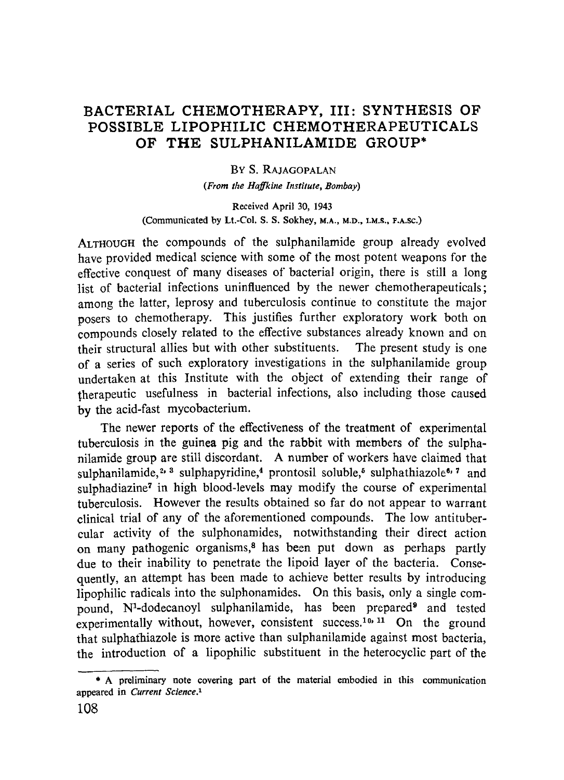## BACTERIAL CHEMOTHERAPY, III: SYNTHESIS OF POSSIBLE LIPOPHILIC CHEMOTHERAPEUTICALS OF THE SULPHANILAMIDE GROUP\*

BY S. RAJAGOPALAN

*(From the Haffkine Instttute, Bombay)* 

Received April 30, 1943 (Communicated by Lt.-Col. S. S. Sokhey, M.A., M.D., I.M.S., F.A.sc.)

ALTHOUGH the compounds of the sulphanilamide group already evolved have provided medical science with some of the most potent weapons for the effective conquest of many diseases of bacterial origin, there is still a long list of bacterial infections uninfluenced by the newer chemotherapeuticals; among the latter, leprosy and tuberculosis continue to constitute the major posers to chemotherapy. This justifies further exploratory work both on compounds closely related to the effective substances already known and on their structural allies but with other substituents. The present study is one of a series of such exploratory investigations in the sulphanilamide group undertaken at this Institute with the object of extending their range of therapeutic usefulness in bacterial infections, also including those caused by the acid-fast mycobacterium.

The newer reports of the effectiveness of the treatment of experimental tuberculosis in the guinea pig and the rabbit with members of the sulphanilamide group are stilt discordant. A number of workers have claimed that sulphanilamide,<sup>2, 3</sup> sulphapyridine,<sup>4</sup> prontosil soluble,<sup>5</sup> sulphathiazole<sup>6,7</sup> and sulphadiazine<sup>7</sup> in high blood-levels may modify the course of experimental tuberculosis. However the results obtained so far do not appear to warrant clinical trial of any of the aforementioned compounds. The low antitubercular activity of the sulphonamides, notwithstanding their direct action on many pathogenic organisms,<sup>8</sup> has been put down as perhaps partly due to their inability to penetrate the lipoid layer of the bacteria. Consequently, an attempt has been made to achieve better results by introducing lipophilic radicals into the sulphonamides. On this basis, only a single compound, N<sup>1</sup>-dodecanoyl sulphanilamide, has been prepared<sup>9</sup> and tested experimentally without, however, consistent success.<sup>10, 11</sup> On the ground that sulphathiazole is more active than sulphanilamide against most bacteria, the introduction of a lipophilic substituent in the heterocyclic part of the

<sup>\*</sup> A preliminary note covering **part of the** material embodied in this communication **appeared** in *Current Sctence. 1*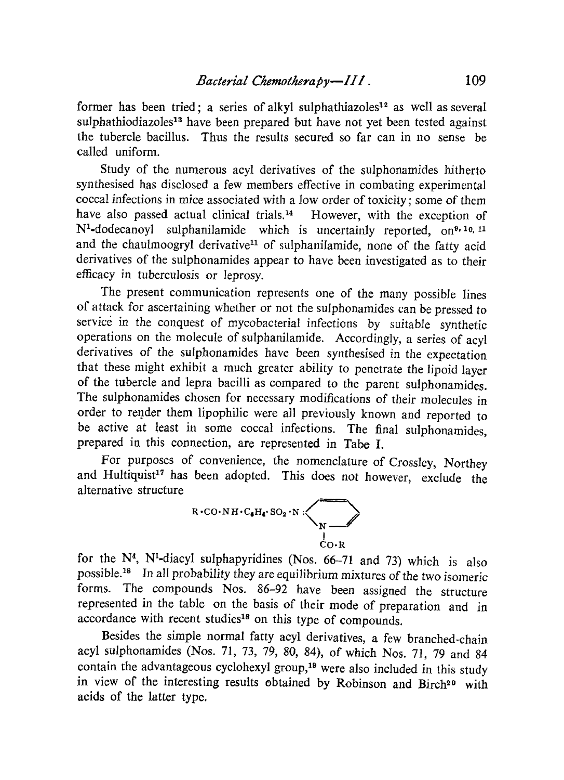former has been tried; a series of alkyl sulphathiazoles<sup>12</sup> as well as several sulphathiodiazoles<sup>13</sup> have been prepared but have not yet been tested against the tubercle bacillus. Thus the results secured so lar can in no sense be called uniform.

Study of the numerous acyl derivatives of the sulphonamides hitherto synthesised has disclosed a few members effective in combating experimental coccal infections in mice associated with a Iow order of toxicity; some of them have also passed actual clinical trials.<sup>14</sup> However, with the exception of  $N^1$ -dodecanoyl sulphanilamide which is uncertainly reported,  $\overline{OP}^{9,10,11}$ and the chaulmoogryl derivative<sup>11</sup> of sulphanilamide, none of the fatty acid derivatives of the sulphonamides appear to have been investigated as to their efficacy in tuberculosis or leprosy.

The present communication represents one of the many possible lines of attack for ascertaining whether or not the sulphonamides can be pressed to service in the conquest of mycobacterial infections by suitable synthetic operations on the molecule of sulphanilamide. Accordingly, a series of acyl derivatives of the sulphonamides have been synthesised in the expectation that these might exhibit a much greater ability to penetrate the lipoid layer of the tubercle and lepra bacilli as compared to the parent sulphonamides. The sulphonamides chosen for necessary modifications of their molecules in order to render them lipophilic were all previously known and reported to be active at least in some coccal infections. The final sulphonamides, prepared in this connection, ate represented in Tabe I.

For purposes of convenience, the nomenclature of Crossley, Northey and Hultiquist<sup>17</sup> has been adopted. This does not however, exclude the alternative structure



for the  $N^4$ , N<sup>1</sup>-diacyl sulphapyridines (Nos. 66-71 and 73) which is also possible.<sup>18</sup> In all probability they are equilibrium mixtures of the two isomeric forms. The compounds Nos. 86-92 have been assigned the structure represented in the table on the basis of their mode of preparation and in accordance with recent studies<sup>18</sup> on this type of compounds.

Besides the simple normal fatty acyl derivatives, a few branched-chain acyl sulphonamides (Nos. 71, 73, 79, 80, 84), of which Nos. 71, 79 and 84 contain the advantageous cyclohexyl group,<sup>19</sup> were also included in this study in view of the interesting results obtained by Robinson and Birch<sup>20</sup> with acids of the latter type.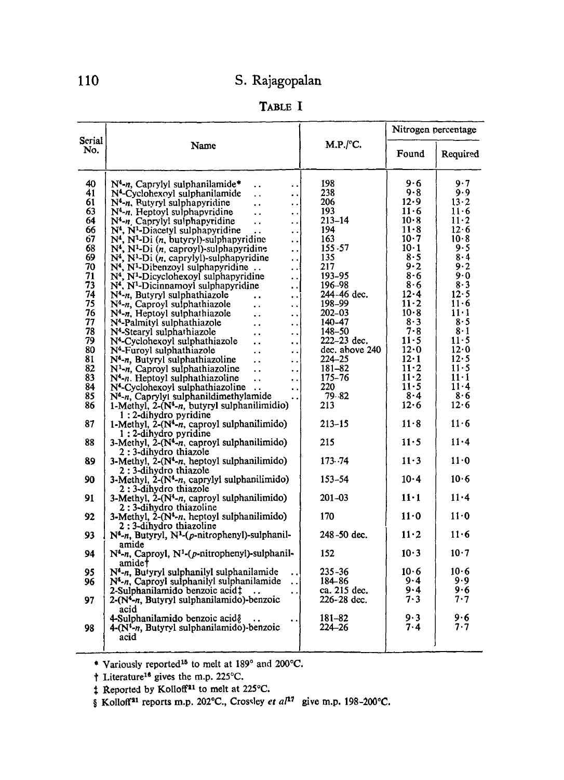# 110 **S.** Rajagopalan

TABLE I

|               |                                                                                                                                          |                       | Nitrogen percentage    |                |
|---------------|------------------------------------------------------------------------------------------------------------------------------------------|-----------------------|------------------------|----------------|
| Serial<br>No. | Name                                                                                                                                     | M.P./ <sup>c</sup> C. | Found                  | Required       |
| 40            | $N4$ - <i>n</i> , Caprylyl sulphanilamide*<br>$\ddot{\phantom{0}}$<br>$\blacksquare$ .                                                   | 198                   | 9.6                    | 9.7            |
| 41            | N <sup>4</sup> -Cyclohexoyl sulphanilamide<br>$\ddot{\phantom{0}}$<br>$\ddot{\phantom{a}}$                                               | 238                   | 9.8                    | 9.9            |
| 61            | $N4$ -n, Butyryl sulphapyridine<br>. .<br>$\ddot{\phantom{0}}$                                                                           | 206                   | 12.9                   | 13.2           |
| 63            | $N4$ - <i>n</i> , Heptoyl sulphapyridine<br>$\ddot{\phantom{a}}$<br>$\ddot{\phantom{1}}$                                                 | 193                   | 11.6                   | $11 - 6$       |
| 64            | $N4$ - <i>n</i> Caprylyl sulphapyridine<br>$\ddot{\phantom{a}}$<br>. .                                                                   | $213 - 14$            | 10.8                   | $11-2$         |
| 66            | $N4$ , N <sup>1</sup> -Diacetyl sulphapyridine<br>$\ddot{\phantom{0}}$                                                                   | 194                   | $11 \cdot 8$           | 12.6           |
| 67            | $N4$ , N <sup>1</sup> -Di ( <i>n</i> , butyryl)-sulphapyridine<br>$\ddot{\phantom{0}}$                                                   | 163                   | 10.7                   | 10.8           |
| 68<br>69      | $N4$ , N <sup>1</sup> -Di (n, caproyl)-sulphapyridine<br>$\ddot{\phantom{0}}$                                                            | 155-57<br>135         | $10-1$<br>8.5          | 9.5<br>8·4     |
| 70            | $N4$ , $N1$ -Di (n. caprylyl)-sulphapyridine<br>$\ddot{\phantom{a}}$                                                                     | 217                   | 9.2                    | 9.2            |
| 71            | $N4$ , N <sup>1</sup> -Dibenzoyl sulphapyridine<br>$\ddot{\phantom{a}}$<br>N <sup>4</sup> , N <sup>1</sup> -Dicyclohexoyl sulphapyridine | 193-95                | 8·6                    | 9.0            |
| 73            | $\ddot{\phantom{a}}$<br>$N4$ , $N1$ -Dicinnamoyl sulphapyridine<br>$\ddotsc$                                                             | 196-98                | 8·6                    | 8.3            |
| 74            | $N4$ - <i>n</i> , Butyryl sulphathiazole<br>۰.۱                                                                                          | 244-46 dec.           | 12.4                   | 12.5           |
| 75            | $N4$ -n, Caproyl sulphathiazole<br>. .<br>$\ddot{\phantom{0}}$                                                                           | 198-99                | $11-2$                 | 11.6           |
| 76            | $N4$ - <i>n</i> . Heptovl sulphathiazole<br>$\cdot$<br>$\ddot{\phantom{a}}$                                                              | $202 - 03$            | 10.8                   | $11 \cdot 1$   |
| 77            | N <sup>4</sup> -Palmityl sulphathiazole<br>$\ddot{\phantom{0}}$<br>$\ddot{\phantom{1}}$                                                  | 140-47                | 8.3                    | 8.5            |
| 78            | N <sup>4</sup> -Stearyl sulphathiazole<br>. .<br>. .                                                                                     | $148 - 50$            | 7.8                    | 8·1            |
| 79            | N <sup>4</sup> -Cyclohexoyl sulphathiazole<br>$\ddot{\phantom{a}}$<br>$\ddot{\phantom{a}}$                                               | 222-23 dec.           | $11-5$                 | $11-5$         |
| 80            | N <sup>4</sup> -Furoyl sulphathiazole<br>$\ddot{\phantom{a}}$<br>. .                                                                     | dec. above 240        | 12.0                   | 12.0           |
| 81            | $N4$ -n, Butyryl sulphathiazoline<br>$\ddot{\phantom{0}}$<br>. .                                                                         | 224–25                | $12 \cdot 1$           | 12.5           |
| 82            | $N1$ - <i>n</i> , Caproyl sulphathiazoline<br>$\ddot{\phantom{1}}$<br>$\ddot{\phantom{0}}$                                               | 181-82                | $11-2$<br>$11 \cdot 2$ | 11.5<br>$11-1$ |
| 83<br>84      | $N4$ - <i>n</i> . Heptoyl sulphathiazoline<br>$\ddot{\phantom{a}}$<br>٠.                                                                 | 175-76<br>220         | 11.5                   | $11 - 4$       |
| 85            | N <sup>4</sup> -Cyclohexoyl sulphathiazoline<br>. .<br>$N4$ - <i>n</i> , Caprylyt sulphanildimethylamide                                 | 79 82                 | $8-4$                  | 8·6            |
| 86            | . .<br>1-Methyl, $2-(N^4-n)$ , butyryl sulphanilimidio)                                                                                  | 213                   | 12.6                   | 12.6           |
|               | 1 : 2-dihydro pyridine                                                                                                                   |                       |                        |                |
| 87            | 1-Methyl, $2-(N^4-n)$ , caproyl sulphanilimido)                                                                                          | $213 - 15$            | 11.8                   | 11.6           |
| 88            | 1:2-dihydro pyridine<br>3-Methyl, $2-(N^4-n)$ , caproyl sulphanilimido)                                                                  | 215                   | 11.5                   | $11-4$         |
| 89            | 2:3-dihydro thiazole<br>3-Methyl, $2-(N^4-n, \text{heptoyl sulphantimido})$                                                              | $173 - 74$            | $11 \cdot 3$           | $11 \cdot 0$   |
| 90            | 2:3-dihydro thiazole                                                                                                                     | $153 - 54$            | $10-4$                 | 10.6           |
|               | 3-Methyl, $2-(N^4-n,$ caprylyl sulphanilimido)<br>2 : 3-dihydro thiazole                                                                 |                       |                        |                |
| 91            | 3-Methyl, $2-(N4-n$ , caproyl sulphanilimido)<br>2:3-dihydro thiazoline                                                                  | 201-03                | $11 \cdot 1$           | $11-4$         |
| 92            | 3-Methyl, $2-(N4-n$ , heptoyl sulphanilimido)<br>2 : 3-dihydro thiazoline                                                                | 170                   | $11-0$                 | $11 \cdot 0$   |
| 93            | $N^4$ -n, Butyryl, N <sup>1</sup> -(p-nitrophenyl)-sulphanil-                                                                            | 248 - 50 dec.         | $11 \cdot 2$           | $11 - 6$       |
| 94            | amide<br>$N4$ -n, Caproyl, N <sup>1</sup> -(p-nitrophenyl)-sulphanil-                                                                    | 152                   | 10.3                   | $10 - 7$       |
|               | amide†                                                                                                                                   |                       | 10.6                   | 10.6           |
| 95<br>96      | N <sup>4</sup> -n. Butyryl sulphanilyl sulphanilamide<br>. .<br>N <sup>4</sup> -n. Caprovi suiphanilyl sulphanilamide                    | 235-36<br>184-86      | 9.4                    | 9.9            |
|               | . .<br>2-Sulphanilamido benzoic acid‡                                                                                                    | ca. 215 dec.          | 9.4                    | 9.6            |
| 97            | 2-(N <sup>4</sup> -n, Butyryl sulphanilamido)-benzoic                                                                                    | 226-28 dec.           | 7.3                    | 7.7            |
|               | acid                                                                                                                                     |                       |                        |                |
|               | 4-Sulphanilamido benzoic acid?                                                                                                           | 181–82                | 9.3                    | 9.6            |
| 98            | 4-(N <sup>4</sup> -n, Butyryl sulphanilamido)-benzoic                                                                                    | 224–26                | 7.4                    | 7·7            |
|               | acid                                                                                                                                     |                       |                        |                |
|               |                                                                                                                                          |                       |                        |                |

\* Variously reported<sup>15</sup> to melt at 189 $^{\circ}$  and 200 $^{\circ}$ C.

 $\dagger$  Literature<sup>16</sup> gives the m.p. 225°C.

 $\ddagger$  Reported by Kolloff<sup>21</sup> to melt at 225°C.

§ Kolloff<sup>21</sup> reports m.p. 202°C., Crossley *et al*<sup>17</sup> give m.p. 198-200°C.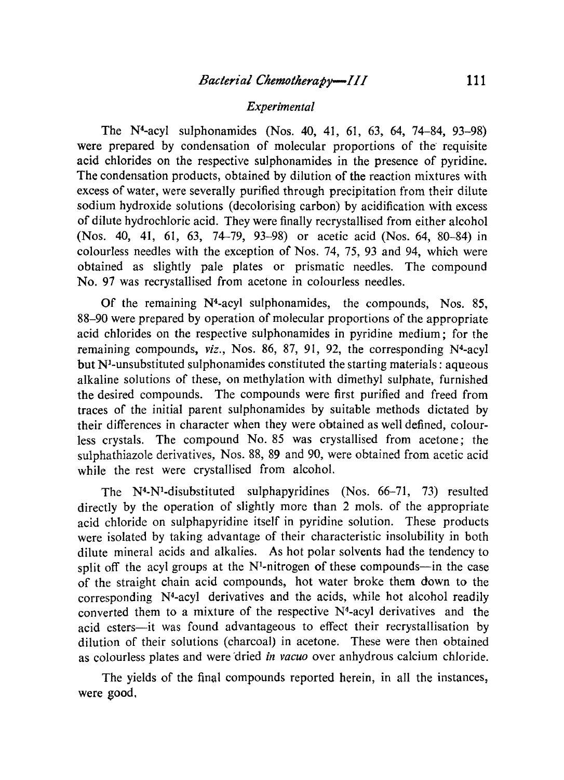#### *Experimental*

The N\*-acyl sulphonamides (Nos. 40, 41, 61, 63, 64, 74-84, 93-98) were prepared by condensation of molecular proportions of the requisite acid chlorides on the respective sulphonamides in the presence of pyridine. The condensation products, obtained by dilution of the reaction mixtures with excess of water, were severally purified through precipitation from their dilute sodium hydroxide solutions (decolorising carbon) by acidification with excess of dilute hydrochloric acid. They were finally recrystallised from either alcohol (Nos. 40, 41, 61, 63, 74-79, 93-98) or acetic acid (Nos. 64, 80-84) in colourless needles with the exception of Nos. 74, 75, 93 and 94, which were obtained as slightly pale plates of prismatic needles. The compound No. 97 was recrystallised from acetone in colourless needles.

Of the remaining N\*-acyl sulphonamides, the compounds, Nos. 85, 88-90 were prepared by operation of molecular proportions of the appropriate acid chlorides on the respective sulphonamides in pyridine medium; for the remaining compounds, *viz.,* Nos. 86, 87, 91, 92, the corresponding N4-acyl but  $N<sup>1</sup>$ -unsubstituted sulphonamides constituted the starting materials: aqueous alkaline solutions of these, on methylation with dimethyl sulphate, furnished the desired compounds. The compounds were first purified and freed from traces of the initial parent sulphonamides by suitable methods dictated by their differences in character when they were obtained as well defined, colourless crystals. The compound No. 85 was crystallised from acetone; the sulphathiazole derivatives, Nos. 88, 89 and 90, were obtained from acetic acid while the rest were crystallised from alcohol.

The N4-Nl-disubstituted sulphapyridines (Nos. 66-71, 73) resulted directly by the operation of slightly more than 2 mols. of the appropriate acid chloride on sulphapyridine itself in pyridine solution. These products were isolated by taking advantage of their characteristic insolubility in both dilute mineral acids and alkalies. As hot polar solvents had the tendency to split off the acyl groups at the  $N^1$ -nitrogen of these compounds—in the case of the straight chain acid compounds, hot water broke them down to the corresponding N4-acyl derivatives and the acids, while hot alcohol readily converted them to a mixture of the respective  $N<sup>4</sup>$ -acyl derivatives and the acid esters--it was found advantageous to effect their recrystallisation by dilution of their solutions (charcoal) in acetone. These were then obtained as colourless plates and were'dried *in vacuo* over anhydrous calcium chloride.

The yields of the final compounds reported herein, in all the instances, were good,